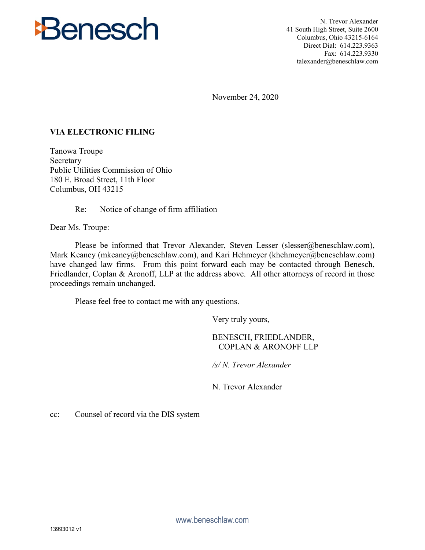

N. Trevor Alexander 41 South High Street, Suite 2600 Columbus, Ohio 43215-6164 Direct Dial: 614.223.9363 Fax: 614.223.9330 talexander@beneschlaw.com

November 24, 2020

## **VIA ELECTRONIC FILING**

Tanowa Troupe Secretary Public Utilities Commission of Ohio 180 E. Broad Street, 11th Floor Columbus, OH 43215

Re: Notice of change of firm affiliation

Dear Ms. Troupe:

Please be informed that Trevor Alexander, Steven Lesser (slesser@beneschlaw.com), Mark Keaney (mkeaney@beneschlaw.com), and Kari Hehmeyer (khehmeyer@beneschlaw.com) have changed law firms. From this point forward each may be contacted through Benesch, Friedlander, Coplan & Aronoff, LLP at the address above. All other attorneys of record in those proceedings remain unchanged.

Please feel free to contact me with any questions.

Very truly yours,

## BENESCH, FRIEDLANDER, COPLAN & ARONOFF LLP

*/s/ N. Trevor Alexander*

N. Trevor Alexander

cc: Counsel of record via the DIS system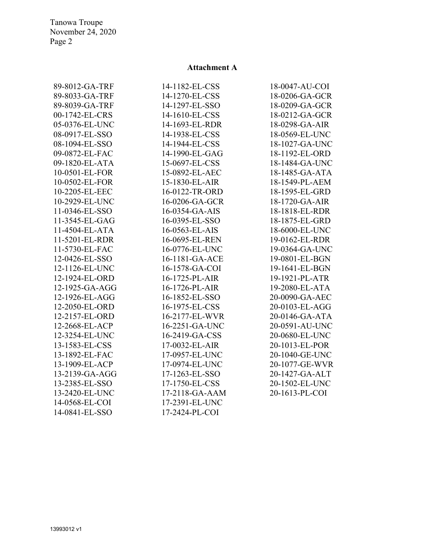Tanowa Troupe November 24, 2020 Page 2

## **Attachment A**

| 89-8012-GA-TRF | 14-1182-EL-CSS | 18-0047-AU-COI |
|----------------|----------------|----------------|
| 89-8033-GA-TRF | 14-1270-EL-CSS | 18-0206-GA-GCR |
| 89-8039-GA-TRF | 14-1297-EL-SSO | 18-0209-GA-GCR |
| 00-1742-EL-CRS | 14-1610-EL-CSS | 18-0212-GA-GCR |
| 05-0376-EL-UNC | 14-1693-EL-RDR | 18-0298-GA-AIR |
| 08-0917-EL-SSO | 14-1938-EL-CSS | 18-0569-EL-UNC |
| 08-1094-EL-SSO | 14-1944-EL-CSS | 18-1027-GA-UNC |
| 09-0872-EL-FAC | 14-1990-EL-GAG | 18-1192-EL-ORD |
| 09-1820-EL-ATA | 15-0697-EL-CSS | 18-1484-GA-UNC |
| 10-0501-EL-FOR | 15-0892-EL-AEC | 18-1485-GA-ATA |
| 10-0502-EL-FOR | 15-1830-EL-AIR | 18-1549-PL-AEM |
| 10-2205-EL-EEC | 16-0122-TR-ORD | 18-1595-EL-GRD |
| 10-2929-EL-UNC | 16-0206-GA-GCR | 18-1720-GA-AIR |
| 11-0346-EL-SSO | 16-0354-GA-AIS | 18-1818-EL-RDR |
| 11-3545-EL-GAG | 16-0395-EL-SSO | 18-1875-EL-GRD |
| 11-4504-EL-ATA | 16-0563-EL-AIS | 18-6000-EL-UNC |
| 11-5201-EL-RDR | 16-0695-EL-REN | 19-0162-EL-RDR |
| 11-5730-EL-FAC | 16-0776-EL-UNC | 19-0364-GA-UNC |
| 12-0426-EL-SSO | 16-1181-GA-ACE | 19-0801-EL-BGN |
| 12-1126-EL-UNC | 16-1578-GA-COI | 19-1641-EL-BGN |
| 12-1924-EL-ORD | 16-1725-PL-AIR | 19-1921-PL-ATR |
| 12-1925-GA-AGG | 16-1726-PL-AIR | 19-2080-EL-ATA |
| 12-1926-EL-AGG | 16-1852-EL-SSO | 20-0090-GA-AEC |
| 12-2050-EL-ORD | 16-1975-EL-CSS | 20-0103-EL-AGG |
| 12-2157-EL-ORD | 16-2177-EL-WVR | 20-0146-GA-ATA |
| 12-2668-EL-ACP | 16-2251-GA-UNC | 20-0591-AU-UNC |
| 12-3254-EL-UNC | 16-2419-GA-CSS | 20-0680-EL-UNC |
| 13-1583-EL-CSS | 17-0032-EL-AIR | 20-1013-EL-POR |
| 13-1892-EL-FAC | 17-0957-EL-UNC | 20-1040-GE-UNC |
| 13-1909-EL-ACP | 17-0974-EL-UNC | 20-1077-GE-WVR |
| 13-2139-GA-AGG | 17-1263-EL-SSO | 20-1427-GA-ALT |
| 13-2385-EL-SSO | 17-1750-EL-CSS | 20-1502-EL-UNC |
| 13-2420-EL-UNC | 17-2118-GA-AAM | 20-1613-PL-COI |
| 14-0568-EL-COI | 17-2391-EL-UNC |                |
| 14-0841-EL-SSO | 17-2424-PL-COI |                |